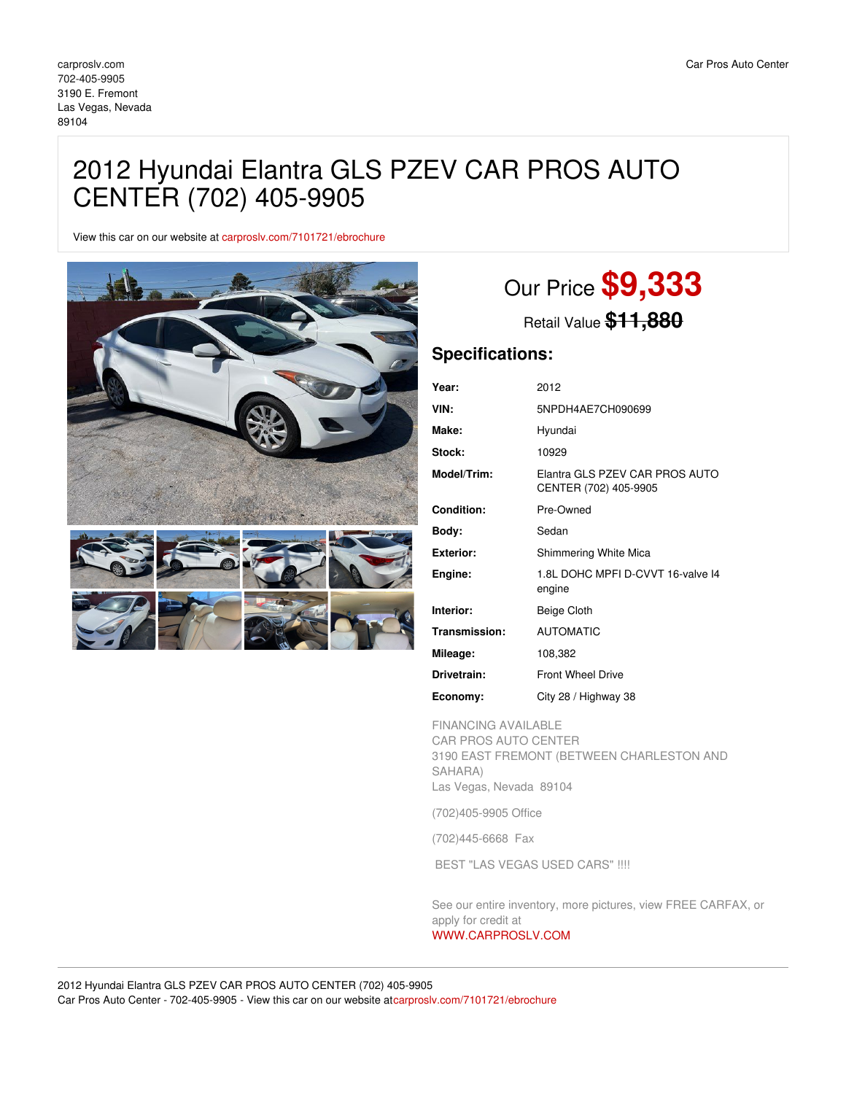## 2012 Hyundai Elantra GLS PZEV CAR PROS AUTO CENTER (702) 405-9905

View this car on our website at [carproslv.com/7101721/ebrochure](https://carproslv.com/vehicle/7101721/2012-hyundai-elantra-gls-pzev-car-pros-auto-center-702-405-9905-las-vegas-nevada-89104/7101721/ebrochure)



# Our Price **\$9,333**

Retail Value **\$11,880**

## **Specifications:**

| Year:            | 2012                                                    |
|------------------|---------------------------------------------------------|
| VIN:             | 5NPDH4AE7CH090699                                       |
| Make:            | Hyundai                                                 |
| Stock:           | 10929                                                   |
| Model/Trim:      | Elantra GLS PZEV CAR PROS AUTO<br>CENTER (702) 405-9905 |
| Condition:       | Pre-Owned                                               |
| Body:            | Sedan                                                   |
| <b>Exterior:</b> | Shimmering White Mica                                   |
| Engine:          | 1.8L DOHC MPFI D-CVVT 16-valve 14<br>engine             |
| Interior:        | Beige Cloth                                             |
| Transmission:    | <b>AUTOMATIC</b>                                        |
| Mileage:         | 108,382                                                 |
| Drivetrain:      | <b>Front Wheel Drive</b>                                |
| Economy:         | City 28 / Highway 38                                    |

FINANCING AVAILABLE CAR PROS AUTO CENTER 3190 EAST FREMONT (BETWEEN CHARLESTON AND SAHARA) Las Vegas, Nevada 89104

(702)405-9905 Office

(702)445-6668 Fax

BEST "LAS VEGAS USED CARS" !!!!

See our entire inventory, more pictures, view FREE CARFAX, or apply for credit at

## [WWW.CARPROSLV.COM](http://www.carproslv.com)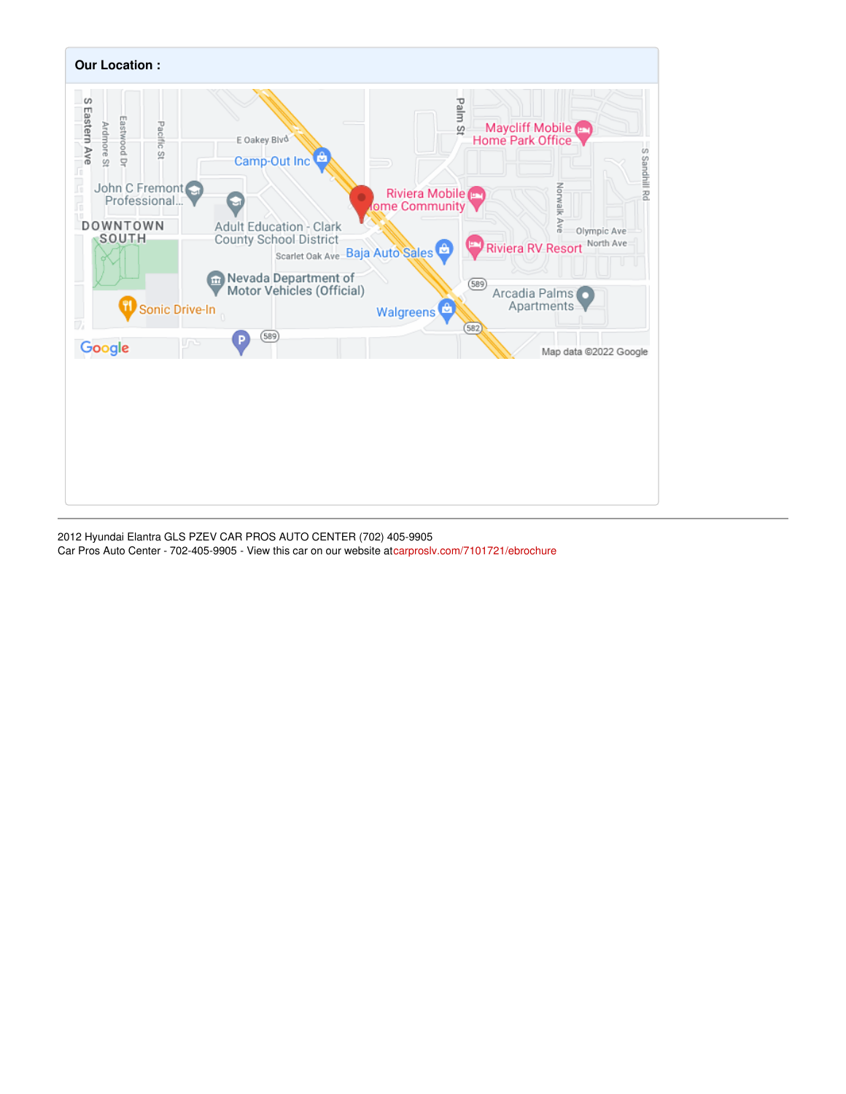

2012 Hyundai Elantra GLS PZEV CAR PROS AUTO CENTER (702) 405-9905 Car Pros Auto Center - 702-405-9905 - View this car on our website a[tcarproslv.com/7101721/ebrochure](https://carproslv.com/vehicle/7101721/2012-hyundai-elantra-gls-pzev-car-pros-auto-center-702-405-9905-las-vegas-nevada-89104/7101721/ebrochure)